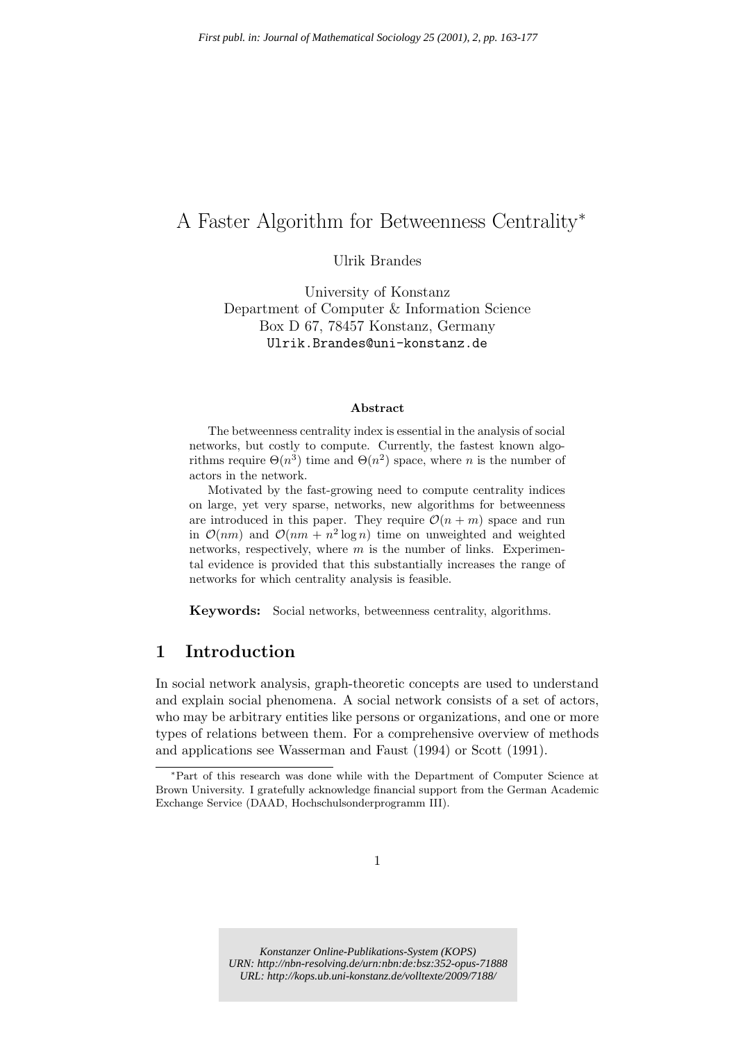# A Faster Algorithm for Betweenness Centrality ∗

Ulrik Brandes

University of Konstanz Department of Computer & Information Science Box D 67, 78457 Konstanz, Germany Ulrik.Brandes@uni-konstanz.de

#### Abstract

The betweenness centrality index is essential in the analysis of social networks, but costly to compute. Currently, the fastest known algorithms require  $\Theta(n^3)$  time and  $\Theta(n^2)$  space, where n is the number of actors in the network.

Motivated by the fast-growing need to compute centrality indices on large, yet very sparse, networks, new algorithms for betweenness are introduced in this paper. They require  $\mathcal{O}(n + m)$  space and run in  $\mathcal{O}(nm)$  and  $\mathcal{O}(nm + n^2 \log n)$  time on unweighted and weighted networks, respectively, where  $m$  is the number of links. Experimental evidence is provided that this substantially increases the range of networks for which centrality analysis is feasible.

Keywords: Social networks, betweenness centrality, algorithms.

### 1 Introduction

In social network analysis, graph-theoretic concepts are used to understand and explain social phenomena. A social network consists of a set of actors, who may be arbitrary entities like persons or organizations, and one or more types of relations between them. For a comprehensive overview of methods and applications see Wasserman and Faust (1994) or Scott (1991).

*Konstanzer Online-Publikations-System (KOPS) URN:<http://nbn-resolving.de/urn:nbn:de:bsz:352-opus-71888> URL:<http://kops.ub.uni-konstanz.de/volltexte/2009/7188/>*

<sup>∗</sup>Part of this research was done while with the Department of Computer Science at Brown University. I gratefully acknowledge financial support from the German Academic Exchange Service (DAAD, Hochschulsonderprogramm III).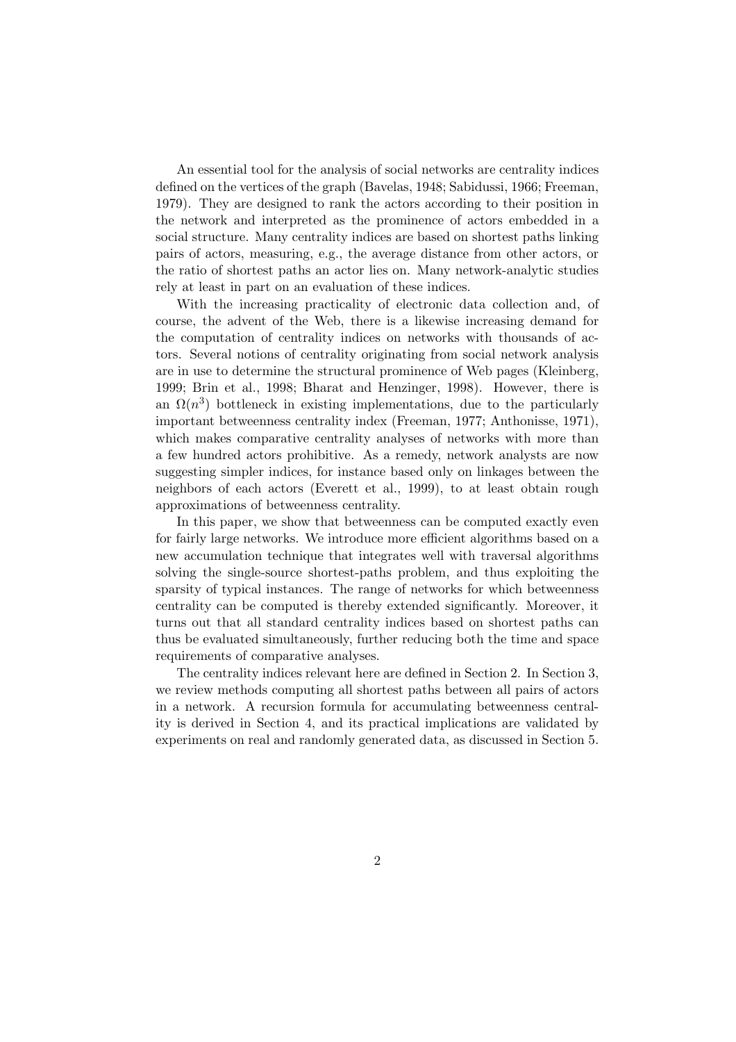An essential tool for the analysis of social networks are centrality indices defined on the vertices of the graph (Bavelas, 1948; Sabidussi, 1966; Freeman, 1979). They are designed to rank the actors according to their position in the network and interpreted as the prominence of actors embedded in a social structure. Many centrality indices are based on shortest paths linking pairs of actors, measuring, e.g., the average distance from other actors, or the ratio of shortest paths an actor lies on. Many network-analytic studies rely at least in part on an evaluation of these indices.

With the increasing practicality of electronic data collection and, of course, the advent of the Web, there is a likewise increasing demand for the computation of centrality indices on networks with thousands of actors. Several notions of centrality originating from social network analysis are in use to determine the structural prominence of Web pages (Kleinberg, 1999; Brin et al., 1998; Bharat and Henzinger, 1998). However, there is an  $\Omega(n^3)$  bottleneck in existing implementations, due to the particularly important betweenness centrality index (Freeman, 1977; Anthonisse, 1971), which makes comparative centrality analyses of networks with more than a few hundred actors prohibitive. As a remedy, network analysts are now suggesting simpler indices, for instance based only on linkages between the neighbors of each actors (Everett et al., 1999), to at least obtain rough approximations of betweenness centrality.

In this paper, we show that betweenness can be computed exactly even for fairly large networks. We introduce more efficient algorithms based on a new accumulation technique that integrates well with traversal algorithms solving the single-source shortest-paths problem, and thus exploiting the sparsity of typical instances. The range of networks for which betweenness centrality can be computed is thereby extended significantly. Moreover, it turns out that all standard centrality indices based on shortest paths can thus be evaluated simultaneously, further reducing both the time and space requirements of comparative analyses.

The centrality indices relevant here are defined in Section 2. In Section 3, we review methods computing all shortest paths between all pairs of actors in a network. A recursion formula for accumulating betweenness centrality is derived in Section 4, and its practical implications are validated by experiments on real and randomly generated data, as discussed in Section 5.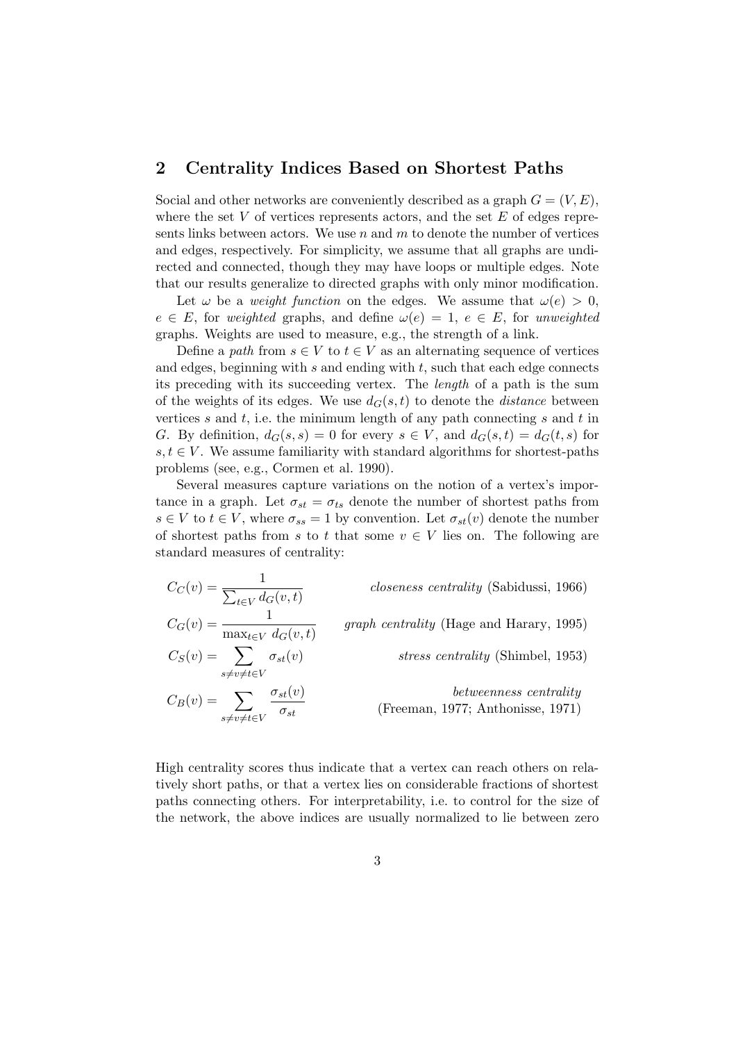### 2 Centrality Indices Based on Shortest Paths

Social and other networks are conveniently described as a graph  $G = (V, E)$ , where the set  $V$  of vertices represents actors, and the set  $E$  of edges represents links between actors. We use  $n$  and  $m$  to denote the number of vertices and edges, respectively. For simplicity, we assume that all graphs are undirected and connected, though they may have loops or multiple edges. Note that our results generalize to directed graphs with only minor modification.

Let  $\omega$  be a *weight function* on the edges. We assume that  $\omega(e) > 0$ ,  $e \in E$ , for weighted graphs, and define  $\omega(e) = 1, e \in E$ , for unweighted graphs. Weights are used to measure, e.g., the strength of a link.

Define a path from  $s \in V$  to  $t \in V$  as an alternating sequence of vertices and edges, beginning with  $s$  and ending with  $t$ , such that each edge connects its preceding with its succeeding vertex. The length of a path is the sum of the weights of its edges. We use  $d_G(s,t)$  to denote the *distance* between vertices s and t, i.e. the minimum length of any path connecting s and t in G. By definition,  $d_G(s, s) = 0$  for every  $s \in V$ , and  $d_G(s, t) = d_G(t, s)$  for  $s,t \in V$ . We assume familiarity with standard algorithms for shortest-paths problems (see, e.g., Cormen et al. 1990).

Several measures capture variations on the notion of a vertex's importance in a graph. Let  $\sigma_{st} = \sigma_{ts}$  denote the number of shortest paths from  $s \in V$  to  $t \in V$ , where  $\sigma_{ss} = 1$  by convention. Let  $\sigma_{st}(v)$  denote the number of shortest paths from s to t that some  $v \in V$  lies on. The following are standard measures of centrality:

 $C_C(v) = \frac{1}{\sum_{l=1}^{n} a_l}$  $\sum_{t \in V} d_G(v, t)$ closeness centrality (Sabidussi, 1966)  $C_G(v) = \frac{1}{\sqrt{2\pi}}$  $\max_{t \in V} d_G(v, t)$ graph centrality (Hage and Harary, 1995)  $C_S(v) = \sum$  $s\not=\nu\not=\,t\in V$ stress centrality (Shimbel, 1953)  $C_B(v) = \sum$ s≠v≠t∈V  $\sigma_{st}(v)$  $\sigma_{st}$ betweenness centrality (Freeman, 1977; Anthonisse, 1971)

High centrality scores thus indicate that a vertex can reach others on relatively short paths, or that a vertex lies on considerable fractions of shortest paths connecting others. For interpretability, i.e. to control for the size of the network, the above indices are usually normalized to lie between zero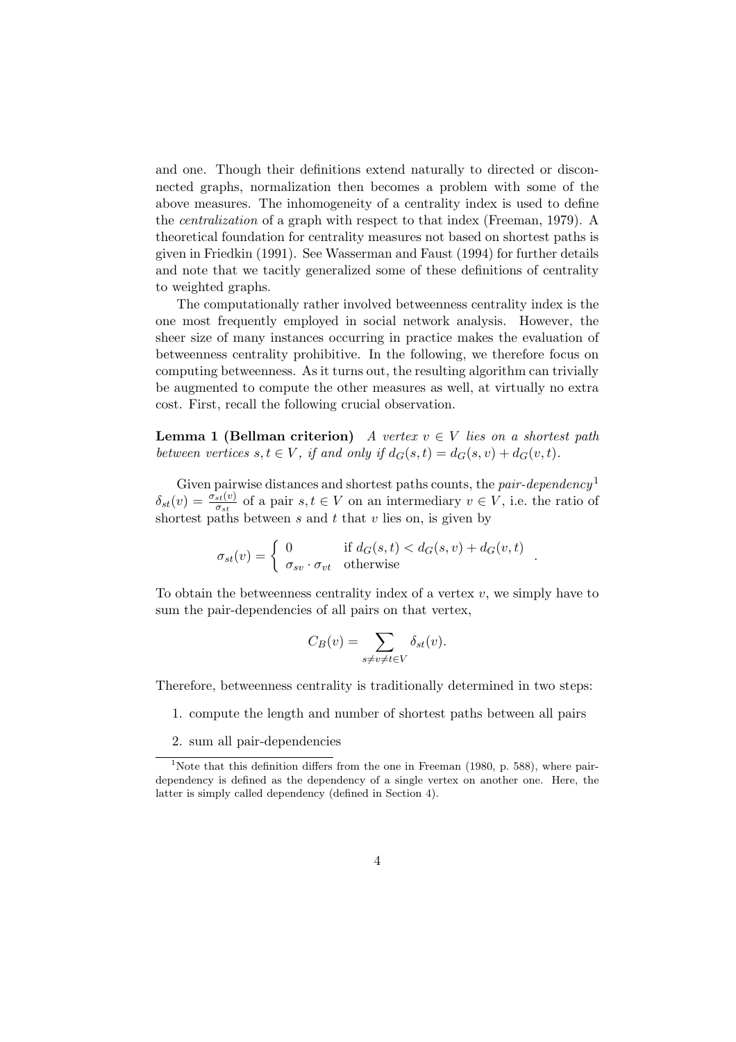and one. Though their definitions extend naturally to directed or disconnected graphs, normalization then becomes a problem with some of the above measures. The inhomogeneity of a centrality index is used to define the centralization of a graph with respect to that index (Freeman, 1979). A theoretical foundation for centrality measures not based on shortest paths is given in Friedkin (1991). See Wasserman and Faust (1994) for further details and note that we tacitly generalized some of these definitions of centrality to weighted graphs.

The computationally rather involved betweenness centrality index is the one most frequently employed in social network analysis. However, the sheer size of many instances occurring in practice makes the evaluation of betweenness centrality prohibitive. In the following, we therefore focus on computing betweenness. As it turns out, the resulting algorithm can trivially be augmented to compute the other measures as well, at virtually no extra cost. First, recall the following crucial observation.

**Lemma 1 (Bellman criterion)** A vertex  $v \in V$  lies on a shortest path between vertices  $s, t \in V$ , if and only if  $d_G(s,t) = d_G(s, v) + d_G(v, t)$ .

Given pairwise distances and shortest paths counts, the pair-dependency<sup>1</sup>  $\delta_{st}(v) = \frac{\sigma_{st}(v)}{\sigma_{st}}$  $\frac{\partial s(t)}{\partial s}$  of a pair  $s, t \in V$  on an intermediary  $v \in V$ , i.e. the ratio of shortest paths between  $s$  and  $t$  that  $v$  lies on, is given by

$$
\sigma_{st}(v) = \begin{cases}\n0 & \text{if } d_G(s,t) < d_G(s,v) + d_G(v,t) \\
\sigma_{sv} \cdot \sigma_{vt} & \text{otherwise}\n\end{cases}
$$

To obtain the betweenness centrality index of a vertex  $v$ , we simply have to sum the pair-dependencies of all pairs on that vertex,

$$
C_B(v) = \sum_{s \neq v \neq t \in V} \delta_{st}(v).
$$

Therefore, betweenness centrality is traditionally determined in two steps:

- 1. compute the length and number of shortest paths between all pairs
- 2. sum all pair-dependencies

<sup>&</sup>lt;sup>1</sup>Note that this definition differs from the one in Freeman (1980, p. 588), where pairdependency is defined as the dependency of a single vertex on another one. Here, the latter is simply called dependency (defined in Section 4).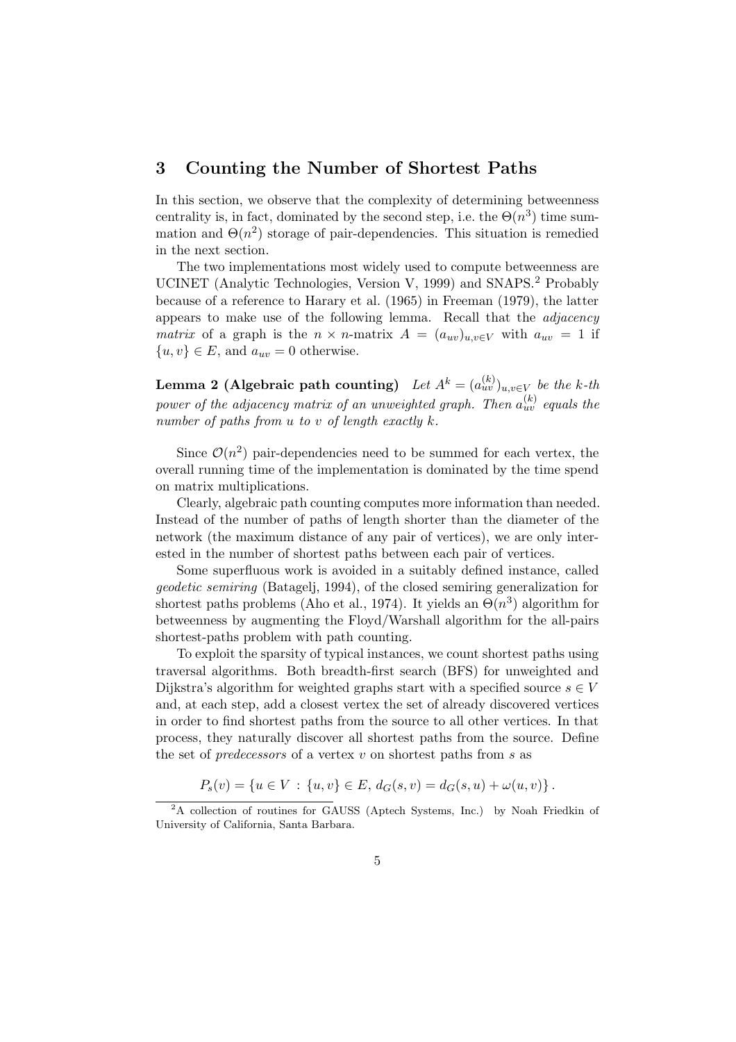#### 3 Counting the Number of Shortest Paths

In this section, we observe that the complexity of determining betweenness centrality is, in fact, dominated by the second step, i.e. the  $\Theta(n^3)$  time summation and  $\Theta(n^2)$  storage of pair-dependencies. This situation is remedied in the next section.

The two implementations most widely used to compute betweenness are UCINET (Analytic Technologies, Version V, 1999) and SNAPS.<sup>2</sup> Probably because of a reference to Harary et al. (1965) in Freeman (1979), the latter appears to make use of the following lemma. Recall that the adjacency matrix of a graph is the  $n \times n$ -matrix  $A = (a_{uv})_{u,v \in V}$  with  $a_{uv} = 1$  if  $\{u, v\} \in E$ , and  $a_{uv} = 0$  otherwise.

Lemma 2 (Algebraic path counting)  $\;Let\; A^k=(a_{uv}^{(k)})_{u,v\in V}\; be\; the\; k\text{-}th$ power of the adjacency matrix of an unweighted graph. Then  $a_{uv}^{(k)}$  equals the number of paths from  $u$  to  $v$  of length exactly  $k$ .

Since  $\mathcal{O}(n^2)$  pair-dependencies need to be summed for each vertex, the overall running time of the implementation is dominated by the time spend on matrix multiplications.

Clearly, algebraic path counting computes more information than needed. Instead of the number of paths of length shorter than the diameter of the network (the maximum distance of any pair of vertices), we are only interested in the number of shortest paths between each pair of vertices.

Some superfluous work is avoided in a suitably defined instance, called geodetic semiring (Batagelj, 1994), of the closed semiring generalization for shortest paths problems (Aho et al., 1974). It yields an  $\Theta(n^3)$  algorithm for betweenness by augmenting the Floyd/Warshall algorithm for the all-pairs shortest-paths problem with path counting.

To exploit the sparsity of typical instances, we count shortest paths using traversal algorithms. Both breadth-first search (BFS) for unweighted and Dijkstra's algorithm for weighted graphs start with a specified source  $s \in V$ and, at each step, add a closest vertex the set of already discovered vertices in order to find shortest paths from the source to all other vertices. In that process, they naturally discover all shortest paths from the source. Define the set of *predecessors* of a vertex  $v$  on shortest paths from  $s$  as

$$
P_s(v) = \{u \in V : \{u, v\} \in E, d_G(s, v) = d_G(s, u) + \omega(u, v)\}.
$$

<sup>&</sup>lt;sup>2</sup>A collection of routines for GAUSS (Aptech Systems, Inc.) by Noah Friedkin of University of California, Santa Barbara.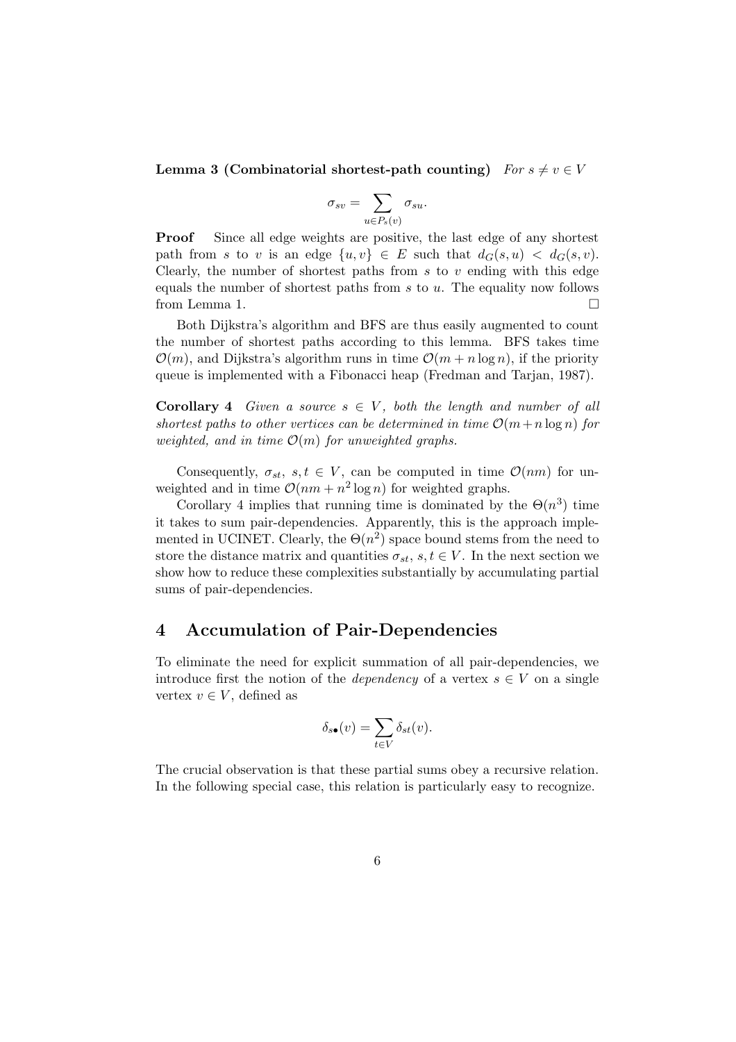Lemma 3 (Combinatorial shortest-path counting)  $For s \neq v \in V$ 

$$
\sigma_{sv} = \sum_{u \in P_s(v)} \sigma_{su}.
$$

Proof Since all edge weights are positive, the last edge of any shortest path from s to v is an edge  $\{u, v\} \in E$  such that  $d_G(s, u) < d_G(s, v)$ . Clearly, the number of shortest paths from  $s$  to  $v$  ending with this edge equals the number of shortest paths from  $s$  to  $u$ . The equality now follows from Lemma 1.

Both Dijkstra's algorithm and BFS are thus easily augmented to count the number of shortest paths according to this lemma. BFS takes time  $\mathcal{O}(m)$ , and Dijkstra's algorithm runs in time  $\mathcal{O}(m + n \log n)$ , if the priority queue is implemented with a Fibonacci heap (Fredman and Tarjan, 1987).

**Corollary 4** Given a source  $s \in V$ , both the length and number of all shortest paths to other vertices can be determined in time  $\mathcal{O}(m+n \log n)$  for weighted, and in time  $\mathcal{O}(m)$  for unweighted graphs.

Consequently,  $\sigma_{st}$ ,  $s, t \in V$ , can be computed in time  $\mathcal{O}(nm)$  for unweighted and in time  $\mathcal{O}(nm + n^2 \log n)$  for weighted graphs.

Corollary 4 implies that running time is dominated by the  $\Theta(n^3)$  time it takes to sum pair-dependencies. Apparently, this is the approach implemented in UCINET. Clearly, the  $\Theta(n^2)$  space bound stems from the need to store the distance matrix and quantities  $\sigma_{st}$ ,  $s, t \in V$ . In the next section we show how to reduce these complexities substantially by accumulating partial sums of pair-dependencies.

#### 4 Accumulation of Pair-Dependencies

To eliminate the need for explicit summation of all pair-dependencies, we introduce first the notion of the *dependency* of a vertex  $s \in V$  on a single vertex  $v \in V$ , defined as

$$
\delta_{s\bullet}(v) = \sum_{t \in V} \delta_{st}(v).
$$

The crucial observation is that these partial sums obey a recursive relation. In the following special case, this relation is particularly easy to recognize.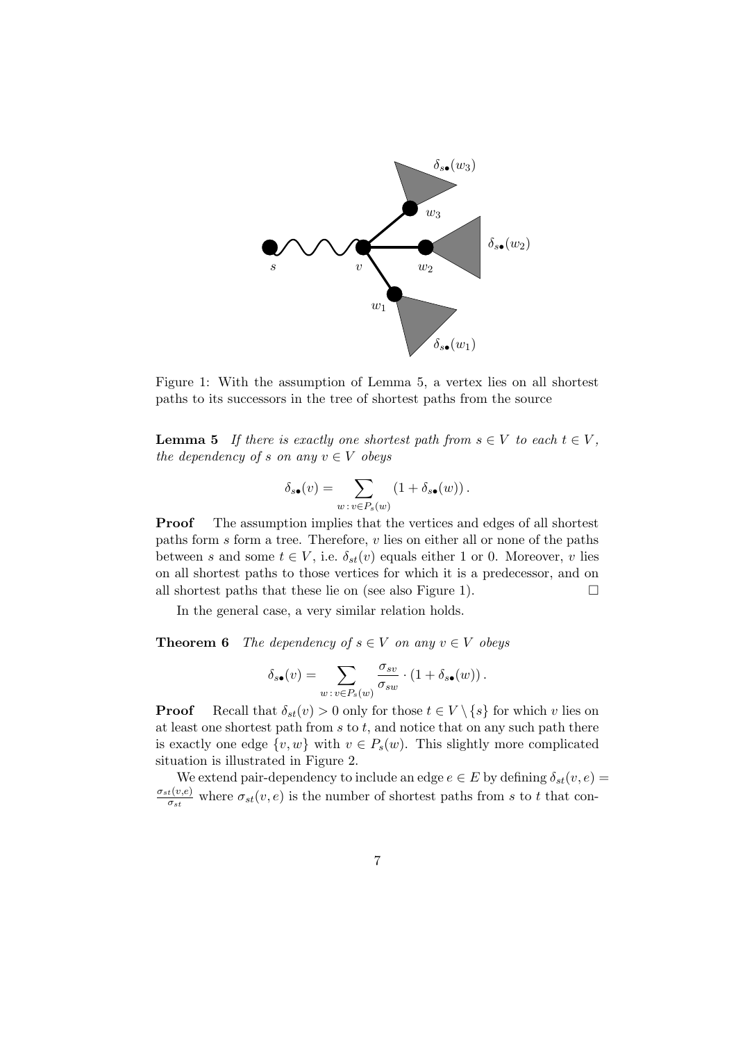

Figure 1: With the assumption of Lemma 5, a vertex lies on all shortest paths to its successors in the tree of shortest paths from the source

**Lemma 5** If there is exactly one shortest path from  $s \in V$  to each  $t \in V$ , the dependency of s on any  $v \in V$  obeys

$$
\delta_{s\bullet}(v)=\sum_{w\,:\,v\in P_s(w)}\left(1+\delta_{s\bullet}(w)\right).
$$

Proof The assumption implies that the vertices and edges of all shortest paths form s form a tree. Therefore, v lies on either all or none of the paths between s and some  $t \in V$ , i.e.  $\delta_{st}(v)$  equals either 1 or 0. Moreover, v lies on all shortest paths to those vertices for which it is a predecessor, and on all shortest paths that these lie on (see also Figure 1).  $\Box$ 

In the general case, a very similar relation holds.

**Theorem 6** The dependency of  $s \in V$  on any  $v \in V$  obeys

$$
\delta_{s\bullet}(v) = \sum_{w \,:\, v \in P_s(w)} \frac{\sigma_{sv}}{\sigma_{sw}} \cdot (1 + \delta_{s\bullet}(w)).
$$

**Proof** Recall that  $\delta_{st}(v) > 0$  only for those  $t \in V \setminus \{s\}$  for which v lies on at least one shortest path from  $s$  to  $t$ , and notice that on any such path there is exactly one edge  $\{v, w\}$  with  $v \in P_s(w)$ . This slightly more complicated situation is illustrated in Figure 2.

We extend pair-dependency to include an edge  $e \in E$  by defining  $\delta_{st}(v, e) =$  $\sigma_{st}(v,e)$  $\frac{t(v,e)}{\sigma_{st}}$  where  $\sigma_{st}(v,e)$  is the number of shortest paths from s to t that con-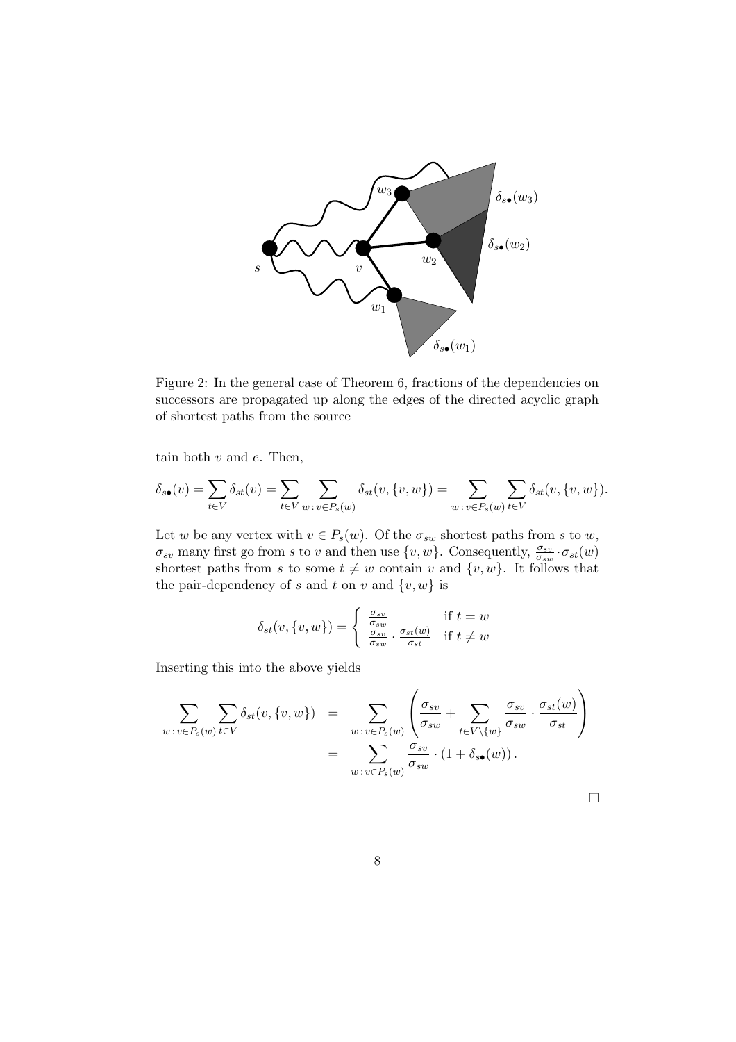

Figure 2: In the general case of Theorem 6, fractions of the dependencies on successors are propagated up along the edges of the directed acyclic graph of shortest paths from the source

tain both  $v$  and  $e$ . Then,

$$
\delta_{s\bullet}(v)=\sum_{t\in V}\delta_{st}(v)=\sum_{t\in V}\sum_{w\::\:v\in P_s(w)}\delta_{st}(v,\{v,w\})=\sum_{w\::\:v\in P_s(w)}\sum_{t\in V}\delta_{st}(v,\{v,w\}).
$$

Let w be any vertex with  $v \in P_s(w)$ . Of the  $\sigma_{sw}$  shortest paths from s to w,  $\sigma_{sv}$  many first go from s to v and then use  $\{v, w\}$ . Consequently,  $\frac{\sigma_{sv}}{\sigma_{sv}}$  $\frac{\sigma_{sv}}{\sigma_{sw}}$  ·  $\sigma_{st}(w)$ shortest paths from s to some  $t \neq w$  contain v and  $\{v, w\}$ . It follows that the pair-dependency of s and t on v and  $\{v, w\}$  is

$$
\delta_{st}(v, \{v, w\}) = \begin{cases} \frac{\sigma_{sv}}{\sigma_{sw}} & \text{if } t = w\\ \frac{\sigma_{sv}}{\sigma_{sw}} \cdot \frac{\sigma_{st}(w)}{\sigma_{st}} & \text{if } t \neq w \end{cases}
$$

Inserting this into the above yields

$$
\sum_{w:v\in P_s(w)} \sum_{t\in V} \delta_{st}(v, \{v, w\}) = \sum_{w:v\in P_s(w)} \left( \frac{\sigma_{sv}}{\sigma_{sw}} + \sum_{t\in V\setminus\{w\}} \frac{\sigma_{sv}}{\sigma_{sw}} \cdot \frac{\sigma_{st}(w)}{\sigma_{st}} \right)
$$

$$
= \sum_{w:v\in P_s(w)} \frac{\sigma_{sv}}{\sigma_{sw}} \cdot (1 + \delta_{s\bullet}(w)).
$$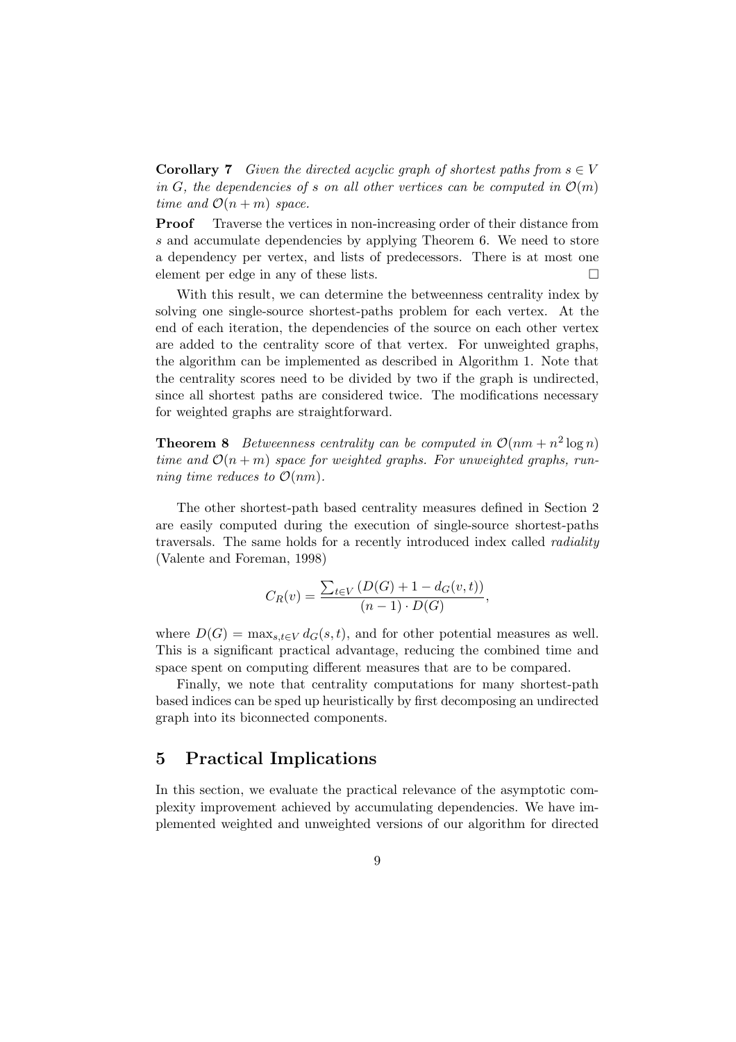**Corollary 7** Given the directed acyclic graph of shortest paths from  $s \in V$ in G, the dependencies of s on all other vertices can be computed in  $\mathcal{O}(m)$ time and  $\mathcal{O}(n+m)$  space.

Proof Traverse the vertices in non-increasing order of their distance from s and accumulate dependencies by applying Theorem 6. We need to store a dependency per vertex, and lists of predecessors. There is at most one element per edge in any of these lists.

With this result, we can determine the betweenness centrality index by solving one single-source shortest-paths problem for each vertex. At the end of each iteration, the dependencies of the source on each other vertex are added to the centrality score of that vertex. For unweighted graphs, the algorithm can be implemented as described in Algorithm 1. Note that the centrality scores need to be divided by two if the graph is undirected, since all shortest paths are considered twice. The modifications necessary for weighted graphs are straightforward.

**Theorem 8** Betweenness centrality can be computed in  $\mathcal{O}(nm + n^2 \log n)$ time and  $\mathcal{O}(n+m)$  space for weighted graphs. For unweighted graphs, running time reduces to  $\mathcal{O}(nm)$ .

The other shortest-path based centrality measures defined in Section 2 are easily computed during the execution of single-source shortest-paths traversals. The same holds for a recently introduced index called radiality (Valente and Foreman, 1998)

$$
C_R(v) = \frac{\sum_{t \in V} (D(G) + 1 - d_G(v, t))}{(n - 1) \cdot D(G)},
$$

where  $D(G) = \max_{s,t \in V} d_G(s,t)$ , and for other potential measures as well. This is a significant practical advantage, reducing the combined time and space spent on computing different measures that are to be compared.

Finally, we note that centrality computations for many shortest-path based indices can be sped up heuristically by first decomposing an undirected graph into its biconnected components.

### 5 Practical Implications

In this section, we evaluate the practical relevance of the asymptotic complexity improvement achieved by accumulating dependencies. We have implemented weighted and unweighted versions of our algorithm for directed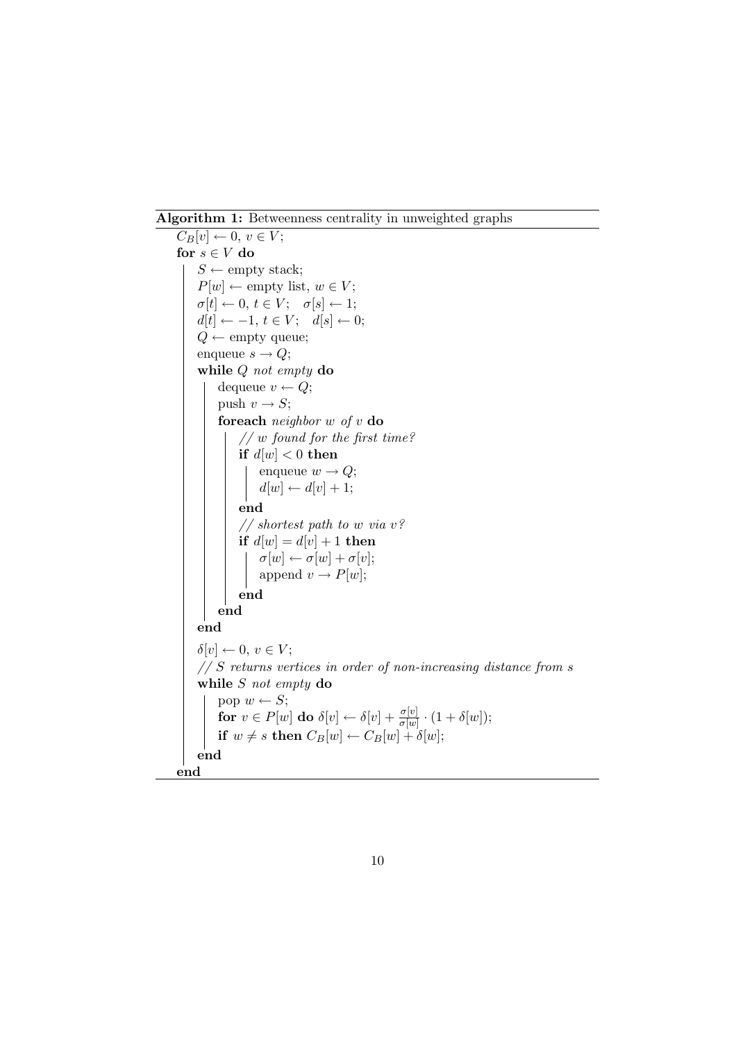Algorithm 1: Betweenness centrality in unweighted graphs

```
\overline{C_B[v] \leftarrow 0}, v \in V;for s \in V do
    S \leftarrow empty stack;
     P[w] \leftarrow \text{empty list}, w \in V;\sigma[t] \leftarrow 0, t \in V; \quad \sigma[s] \leftarrow 1;d[t] \leftarrow -1, t \in V; \quad d[s] \leftarrow 0;Q \leftarrow \text{empty queue};enqueue s \to Q;
    while Q not empty do
         dequeue v \leftarrow Q;
         push v \rightarrow S;
         foreach neighbor w of v do
              // w found for the first time?
              if d[w] < 0 then
                   enqueue w \to Q;
                   d[w] \leftarrow d[v] + 1;end
               // shortest path to w via v?
              if d[w] = d[v] + 1 then
                   \sigma[w] \leftarrow \sigma[w] + \sigma[v];append v \to P[w];
              end
         end
     end
    \delta[v] \leftarrow 0, v \in V;// S returns vertices in order of non-increasing distance from swhile S not empty do
         pop w \leftarrow S;
          for v \in P[w] do \delta[v] \leftarrow \delta[v] + \frac{\sigma[v]}{\sigma(w)}\frac{\sigma[v]}{\sigma[w]} \cdot (1 + \delta[w]);
          if w \neq s then C_B[w] \leftarrow C_B[w] + \delta[w];end
end
```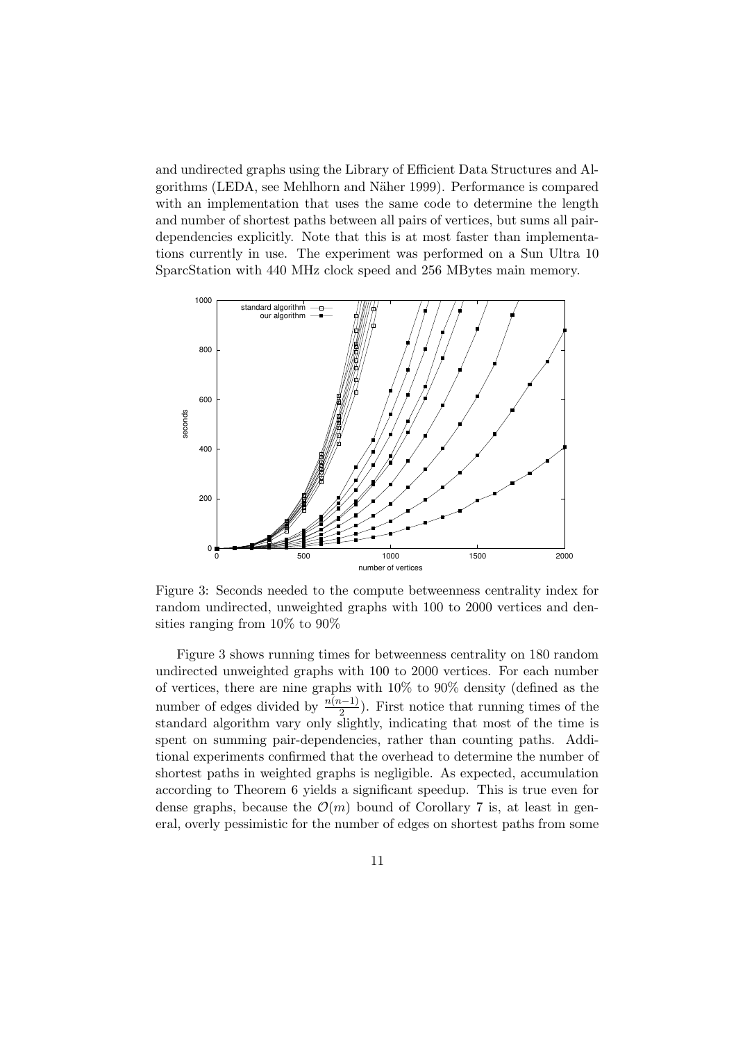and undirected graphs using the Library of Efficient Data Structures and Algorithms (LEDA, see Mehlhorn and N¨aher 1999). Performance is compared with an implementation that uses the same code to determine the length and number of shortest paths between all pairs of vertices, but sums all pairdependencies explicitly. Note that this is at most faster than implementations currently in use. The experiment was performed on a Sun Ultra 10 SparcStation with 440 MHz clock speed and 256 MBytes main memory.



Figure 3: Seconds needed to the compute betweenness centrality index for random undirected, unweighted graphs with 100 to 2000 vertices and densities ranging from 10% to 90%

Figure 3 shows running times for betweenness centrality on 180 random undirected unweighted graphs with 100 to 2000 vertices. For each number of vertices, there are nine graphs with 10% to 90% density (defined as the number of edges divided by  $\frac{n(n-1)}{2}$  $\frac{2^{(l-1)}}{2}$ ). First notice that running times of the standard algorithm vary only slightly, indicating that most of the time is spent on summing pair-dependencies, rather than counting paths. Additional experiments confirmed that the overhead to determine the number of shortest paths in weighted graphs is negligible. As expected, accumulation according to Theorem 6 yields a significant speedup. This is true even for dense graphs, because the  $\mathcal{O}(m)$  bound of Corollary 7 is, at least in general, overly pessimistic for the number of edges on shortest paths from some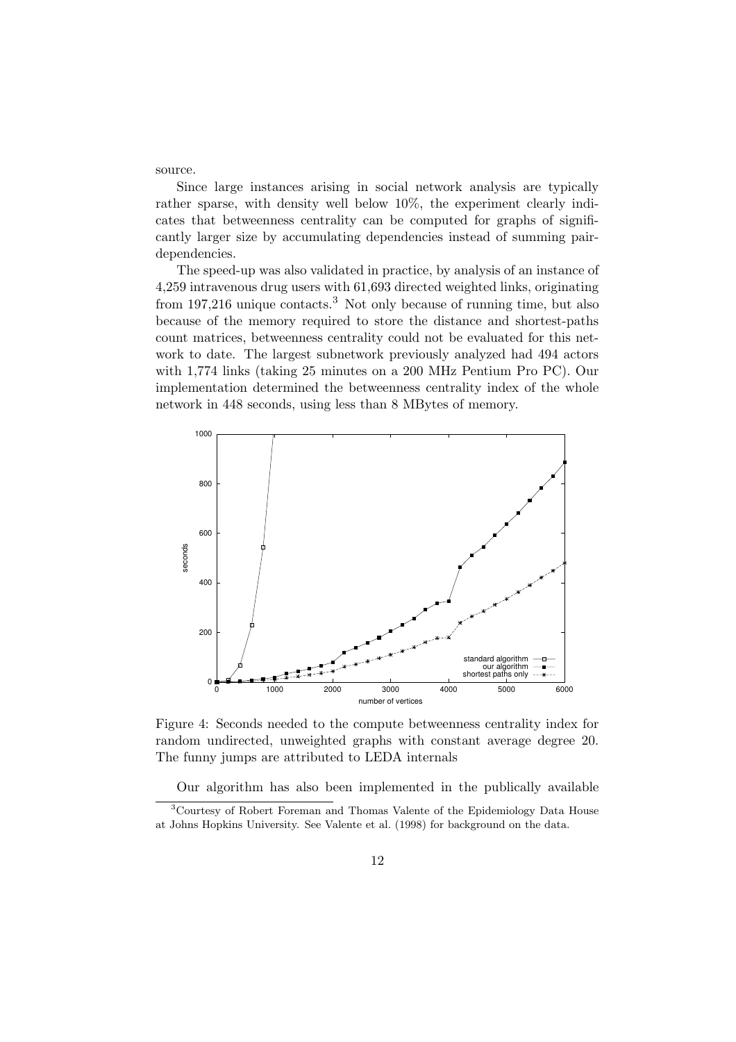source.

Since large instances arising in social network analysis are typically rather sparse, with density well below 10%, the experiment clearly indicates that betweenness centrality can be computed for graphs of significantly larger size by accumulating dependencies instead of summing pairdependencies.

The speed-up was also validated in practice, by analysis of an instance of 4,259 intravenous drug users with 61,693 directed weighted links, originating from  $197,216$  unique contacts.<sup>3</sup> Not only because of running time, but also because of the memory required to store the distance and shortest-paths count matrices, betweenness centrality could not be evaluated for this network to date. The largest subnetwork previously analyzed had 494 actors with 1,774 links (taking 25 minutes on a 200 MHz Pentium Pro PC). Our implementation determined the betweenness centrality index of the whole network in 448 seconds, using less than 8 MBytes of memory.



Figure 4: Seconds needed to the compute betweenness centrality index for random undirected, unweighted graphs with constant average degree 20. The funny jumps are attributed to LEDA internals

Our algorithm has also been implemented in the publically available

<sup>3</sup>Courtesy of Robert Foreman and Thomas Valente of the Epidemiology Data House at Johns Hopkins University. See Valente et al. (1998) for background on the data.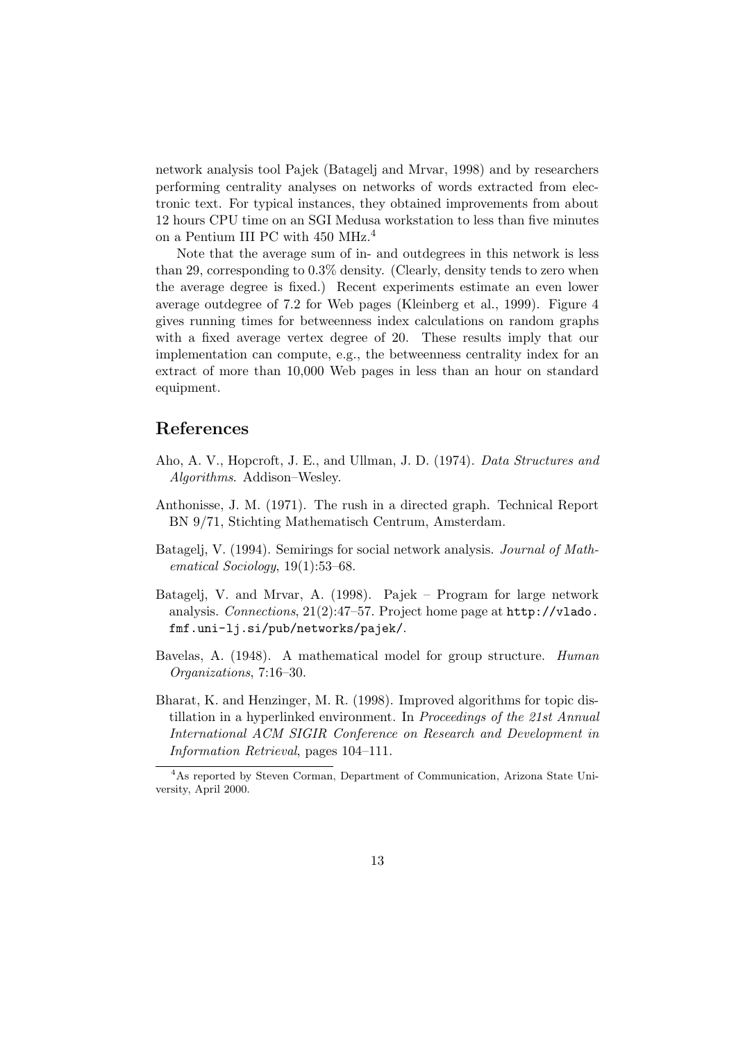network analysis tool Pajek (Batagelj and Mrvar, 1998) and by researchers performing centrality analyses on networks of words extracted from electronic text. For typical instances, they obtained improvements from about 12 hours CPU time on an SGI Medusa workstation to less than five minutes on a Pentium III PC with 450 MHz.<sup>4</sup>

Note that the average sum of in- and outdegrees in this network is less than 29, corresponding to 0.3% density. (Clearly, density tends to zero when the average degree is fixed.) Recent experiments estimate an even lower average outdegree of 7.2 for Web pages (Kleinberg et al., 1999). Figure 4 gives running times for betweenness index calculations on random graphs with a fixed average vertex degree of 20. These results imply that our implementation can compute, e.g., the betweenness centrality index for an extract of more than 10,000 Web pages in less than an hour on standard equipment.

## References

- Aho, A. V., Hopcroft, J. E., and Ullman, J. D. (1974). Data Structures and Algorithms. Addison–Wesley.
- Anthonisse, J. M. (1971). The rush in a directed graph. Technical Report BN 9/71, Stichting Mathematisch Centrum, Amsterdam.
- Batagelj, V. (1994). Semirings for social network analysis. Journal of Mathematical Sociology, 19(1):53–68.
- Batagelj, V. and Mrvar, A. (1998). Pajek Program for large network analysis. Connections,  $21(2):47-57$ . Project home page at  $http://vlado.$ fmf.uni-lj.si/pub/networks/pajek/.
- Bavelas, A. (1948). A mathematical model for group structure. Human Organizations, 7:16–30.
- Bharat, K. and Henzinger, M. R. (1998). Improved algorithms for topic distillation in a hyperlinked environment. In Proceedings of the 21st Annual International ACM SIGIR Conference on Research and Development in Information Retrieval, pages 104–111.

<sup>4</sup>As reported by Steven Corman, Department of Communication, Arizona State University, April 2000.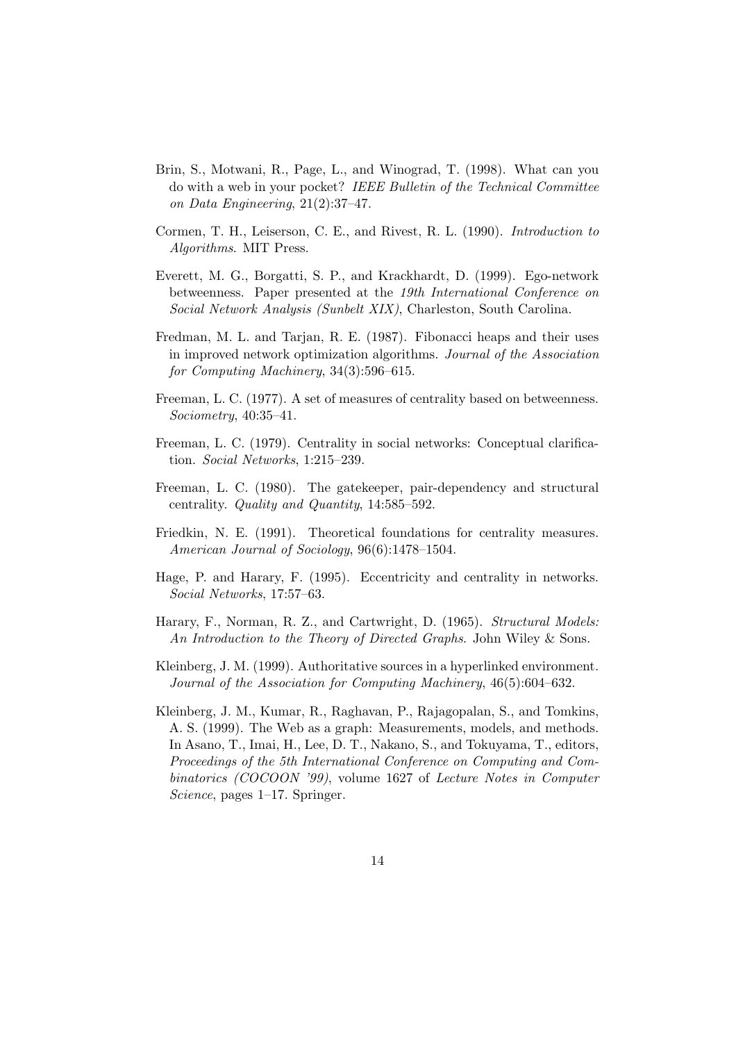- Brin, S., Motwani, R., Page, L., and Winograd, T. (1998). What can you do with a web in your pocket? IEEE Bulletin of the Technical Committee on Data Engineering, 21(2):37–47.
- Cormen, T. H., Leiserson, C. E., and Rivest, R. L. (1990). Introduction to Algorithms. MIT Press.
- Everett, M. G., Borgatti, S. P., and Krackhardt, D. (1999). Ego-network betweenness. Paper presented at the 19th International Conference on Social Network Analysis (Sunbelt XIX), Charleston, South Carolina.
- Fredman, M. L. and Tarjan, R. E. (1987). Fibonacci heaps and their uses in improved network optimization algorithms. Journal of the Association for Computing Machinery, 34(3):596–615.
- Freeman, L. C. (1977). A set of measures of centrality based on betweenness. Sociometry, 40:35–41.
- Freeman, L. C. (1979). Centrality in social networks: Conceptual clarification. Social Networks, 1:215–239.
- Freeman, L. C. (1980). The gatekeeper, pair-dependency and structural centrality. Quality and Quantity, 14:585–592.
- Friedkin, N. E. (1991). Theoretical foundations for centrality measures. American Journal of Sociology, 96(6):1478–1504.
- Hage, P. and Harary, F. (1995). Eccentricity and centrality in networks. Social Networks, 17:57–63.
- Harary, F., Norman, R. Z., and Cartwright, D. (1965). Structural Models: An Introduction to the Theory of Directed Graphs. John Wiley & Sons.
- Kleinberg, J. M. (1999). Authoritative sources in a hyperlinked environment. Journal of the Association for Computing Machinery, 46(5):604–632.
- Kleinberg, J. M., Kumar, R., Raghavan, P., Rajagopalan, S., and Tomkins, A. S. (1999). The Web as a graph: Measurements, models, and methods. In Asano, T., Imai, H., Lee, D. T., Nakano, S., and Tokuyama, T., editors, Proceedings of the 5th International Conference on Computing and Combinatorics (COCOON '99), volume 1627 of Lecture Notes in Computer Science, pages 1–17. Springer.